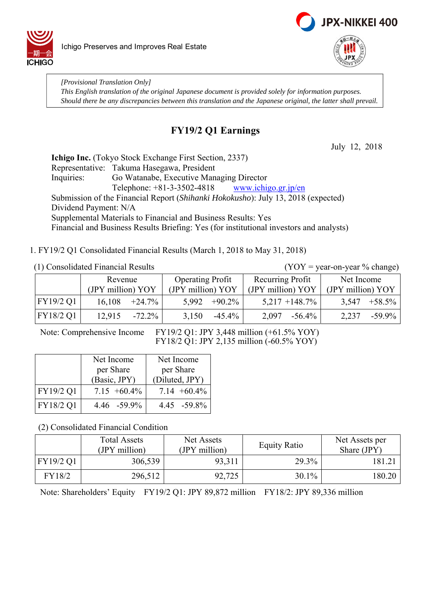



*[Provisional Translation Only] This English translation of the original Japanese document is provided solely for information purposes. Should there be any discrepancies between this translation and the Japanese original, the latter shall prevail.*

## **FY19/2 Q1 Earnings**

July 12, 2018

**Ichigo Inc.** (Tokyo Stock Exchange First Section, 2337) Representative: Takuma Hasegawa, President Inquiries: Go Watanabe, Executive Managing Director Telephone:  $+81-3-3502-4818$  www.ichigo.gr.jp/en Submission of the Financial Report (*Shihanki Hokokusho*): July 13, 2018 (expected) Dividend Payment: N/A Supplemental Materials to Financial and Business Results: Yes Financial and Business Results Briefing: Yes (for institutional investors and analysts)

1. FY19/2 Q1 Consolidated Financial Results (March 1, 2018 to May 31, 2018)

(1) Consolidated Financial Results (YOY = year-on-year % change)

|           | Revenue           |                 | <b>Operating Profit</b> |                  | Recurring Profit  |                   | Net Income        |                 |
|-----------|-------------------|-----------------|-------------------------|------------------|-------------------|-------------------|-------------------|-----------------|
|           | (JPY million) YOY |                 | (JPY million) YOY       |                  | (JPY million) YOY |                   | (JPY million) YOY |                 |
| FY19/2 Q1 |                   | $16,108$ +24.7% |                         | $5.992 + 90.2\%$ |                   | $5,217 + 148.7\%$ |                   | $3,547 +58.5\%$ |
| FY18/2 Q1 | 12.915            | $-72.2\%$       | 3,150                   | -45.4%           | 2,097             | $-56.4\%$         | 2,237             | $-59.9\%$       |

Note: Comprehensive Income FY19/2 Q1: JPY 3,448 million (+61.5% YOY) FY18/2 Q1: JPY 2,135 million (-60.5% YOY)

|           | Net Income      | Net Income      |
|-----------|-----------------|-----------------|
|           | per Share       | per Share       |
|           | (Basic, JPY)    | (Diluted, JPY)  |
| FY19/2 Q1 | $7.15 + 60.4\%$ | $7.14 + 60.4\%$ |
| FY18/2 Q1 | 4.46 -59.9%     | $4.45 - 59.8\%$ |

(2) Consolidated Financial Condition

|           | <b>Total Assets</b><br>(JPY million) | Net Assets<br>(JPY million) | <b>Equity Ratio</b> | Net Assets per<br>Share (JPY) |
|-----------|--------------------------------------|-----------------------------|---------------------|-------------------------------|
| FY19/2 Q1 | 306,539                              | 93,311                      | 29.3%               | 181.21                        |
| FY18/2    | 296,512                              | 92,725                      | 30.1%               | 180.20                        |

Note: Shareholders' Equity FY19/2 Q1: JPY 89,872 million FY18/2: JPY 89,336 million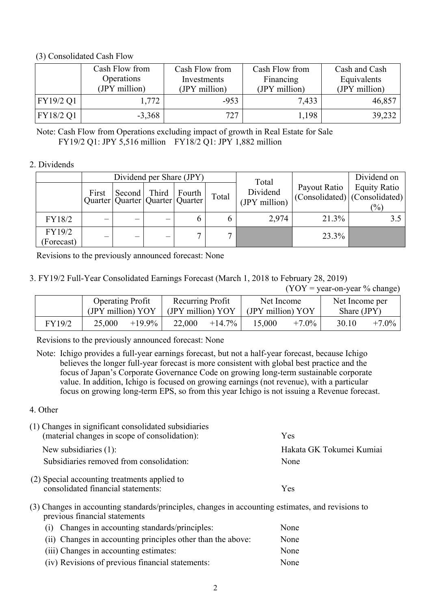#### (3) Consolidated Cash Flow

|           | Cash Flow from<br>Operations<br>(JPY million) | Cash Flow from<br>Investments<br>(JPY million) | Cash Flow from<br>Financing<br>(JPY million) | Cash and Cash<br>Equivalents<br>(JPY million) |
|-----------|-----------------------------------------------|------------------------------------------------|----------------------------------------------|-----------------------------------------------|
| FY19/2 Q1 | 1,772                                         | $-953$                                         | 7,433                                        | 46,857                                        |
| FY18/2 Q1 | $-3,368$                                      | 727                                            | 1,198                                        | 39,232                                        |

Note: Cash Flow from Operations excluding impact of growth in Real Estate for Sale FY19/2 Q1: JPY 5,516 million FY18/2 Q1: JPY 1,882 million

#### 2. Dividends

|                      |       |                                       | Dividend per Share (JPY) |       | Total                     |              | Dividend on                                                            |
|----------------------|-------|---------------------------------------|--------------------------|-------|---------------------------|--------------|------------------------------------------------------------------------|
|                      | First | Quarter   Quarter   Quarter   Quarter | Second Third Fourth      | Total | Dividend<br>(JPY million) | Payout Ratio | <b>Equity Ratio</b><br>$ $ (Consolidated) $ $ (Consolidated)<br>$(\%)$ |
| FY18/2               |       |                                       |                          |       | 2,974                     | 21.3%        |                                                                        |
| FY19/2<br>(Forecast) |       |                                       |                          |       |                           | 23.3%        |                                                                        |

Revisions to the previously announced forecast: None

### 3. FY19/2 Full-Year Consolidated Earnings Forecast (March 1, 2018 to February 28, 2019)

 $(YOY = year-on-year \% change)$ 

|        | <b>Operating Profit</b><br>(JPY million) YOY |           | Recurring Profit<br>(JPY million) YOY |           | Net Income<br>(JPY million) YOY |          | Net Income per<br>Share $(JPY)$ |          |
|--------|----------------------------------------------|-----------|---------------------------------------|-----------|---------------------------------|----------|---------------------------------|----------|
| FY19/2 | 25,000                                       | $+19.9\%$ | 22,000                                | $+14.7\%$ | 15,000                          | $+7.0\%$ | 30.10                           | $+7.0\%$ |

Revisions to the previously announced forecast: None

Note: Ichigo provides a full-year earnings forecast, but not a half-year forecast, because Ichigo believes the longer full-year forecast is more consistent with global best practice and the focus of Japan's Corporate Governance Code on growing long-term sustainable corporate value. In addition, Ichigo is focused on growing earnings (not revenue), with a particular focus on growing long-term EPS, so from this year Ichigo is not issuing a Revenue forecast.

### 4. Other

| (1) Changes in significant consolidated subsidiaries<br>(material changes in scope of consolidation): | Yes                      |
|-------------------------------------------------------------------------------------------------------|--------------------------|
| New subsidiaries $(1)$ :                                                                              | Hakata GK Tokumei Kumiai |
| Subsidiaries removed from consolidation:                                                              | None                     |
| (2) Special accounting treatments applied to<br>consolidated financial statements:                    | Yes                      |

(3) Changes in accounting standards/principles, changes in accounting estimates, and revisions to previous financial statements

| (i) Changes in accounting standards/principles:             | None |
|-------------------------------------------------------------|------|
| (ii) Changes in accounting principles other than the above: | None |
| (iii) Changes in accounting estimates:                      | None |
| (iv) Revisions of previous financial statements:            | None |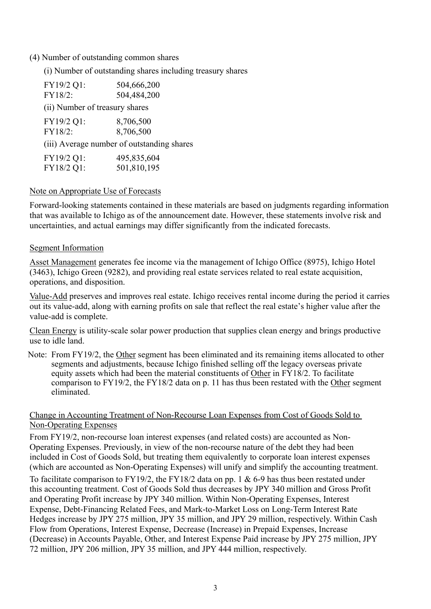#### (4) Number of outstanding common shares

(i) Number of outstanding shares including treasury shares

| FY19/2 Q1:                     | 504,666,200                                |
|--------------------------------|--------------------------------------------|
| FY18/2:                        | 504,484,200                                |
| (ii) Number of treasury shares |                                            |
| FY19/2 Q1:                     | 8,706,500                                  |
| FY18/2:                        | 8,706,500                                  |
|                                | (iii) Average number of outstanding shares |
| FY19/2 Q1:                     | 495,835,604                                |
| FY18/2 Q1:                     | 501,810,195                                |

#### Note on Appropriate Use of Forecasts

Forward-looking statements contained in these materials are based on judgments regarding information that was available to Ichigo as of the announcement date. However, these statements involve risk and uncertainties, and actual earnings may differ significantly from the indicated forecasts.

#### Segment Information

Asset Management generates fee income via the management of Ichigo Office (8975), Ichigo Hotel (3463), Ichigo Green (9282), and providing real estate services related to real estate acquisition, operations, and disposition.

Value-Add preserves and improves real estate. Ichigo receives rental income during the period it carries out its value-add, along with earning profits on sale that reflect the real estate's higher value after the value-add is complete.

Clean Energy is utility-scale solar power production that supplies clean energy and brings productive use to idle land.

Note: From FY19/2, the Other segment has been eliminated and its remaining items allocated to other segments and adjustments, because Ichigo finished selling off the legacy overseas private equity assets which had been the material constituents of Other in FY18/2. To facilitate comparison to FY19/2, the FY18/2 data on p. 11 has thus been restated with the Other segment eliminated.

### Change in Accounting Treatment of Non-Recourse Loan Expenses from Cost of Goods Sold to Non-Operating Expenses

From FY19/2, non-recourse loan interest expenses (and related costs) are accounted as Non-Operating Expenses. Previously, in view of the non-recourse nature of the debt they had been included in Cost of Goods Sold, but treating them equivalently to corporate loan interest expenses (which are accounted as Non-Operating Expenses) will unify and simplify the accounting treatment.

To facilitate comparison to FY19/2, the FY18/2 data on pp. 1 & 6-9 has thus been restated under this accounting treatment. Cost of Goods Sold thus decreases by JPY 340 million and Gross Profit and Operating Profit increase by JPY 340 million. Within Non-Operating Expenses, Interest Expense, Debt-Financing Related Fees, and Mark-to-Market Loss on Long-Term Interest Rate Hedges increase by JPY 275 million, JPY 35 million, and JPY 29 million, respectively. Within Cash Flow from Operations, Interest Expense, Decrease (Increase) in Prepaid Expenses, Increase (Decrease) in Accounts Payable, Other, and Interest Expense Paid increase by JPY 275 million, JPY 72 million, JPY 206 million, JPY 35 million, and JPY 444 million, respectively.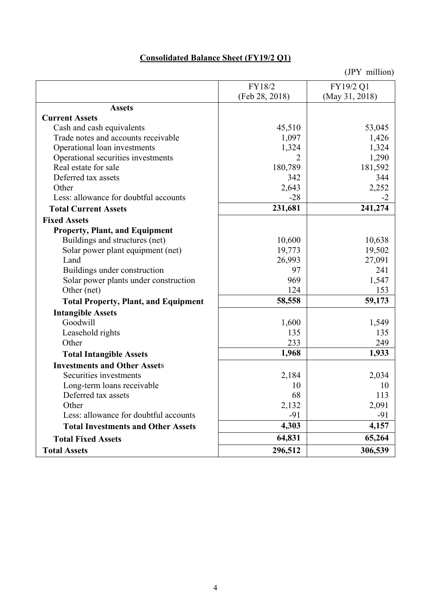# **Consolidated Balance Sheet (FY19/2 Q1)**

|                                             | FY18/2         | FY19/2 Q1      |
|---------------------------------------------|----------------|----------------|
|                                             | (Feb 28, 2018) | (May 31, 2018) |
| <b>Assets</b>                               |                |                |
| <b>Current Assets</b>                       |                |                |
| Cash and cash equivalents                   | 45,510         | 53,045         |
| Trade notes and accounts receivable         | 1,097          | 1,426          |
| Operational loan investments                | 1,324          | 1,324          |
| Operational securities investments          | $\overline{2}$ | 1,290          |
| Real estate for sale                        | 180,789        | 181,592        |
| Deferred tax assets                         | 342            | 344            |
| Other                                       | 2,643          | 2,252          |
| Less: allowance for doubtful accounts       | $-28$          | -2             |
| <b>Total Current Assets</b>                 | 231,681        | 241,274        |
| <b>Fixed Assets</b>                         |                |                |
| <b>Property, Plant, and Equipment</b>       |                |                |
| Buildings and structures (net)              | 10,600         | 10,638         |
| Solar power plant equipment (net)           | 19,773         | 19,502         |
| Land                                        | 26,993         | 27,091         |
| Buildings under construction                | 97             | 241            |
| Solar power plants under construction       | 969            | 1,547          |
| Other (net)                                 | 124            | 153            |
| <b>Total Property, Plant, and Equipment</b> | 58,558         | 59,173         |
| <b>Intangible Assets</b>                    |                |                |
| Goodwill                                    | 1,600          | 1,549          |
| Leasehold rights                            | 135            | 135            |
| Other                                       | 233            | 249            |
| <b>Total Intangible Assets</b>              | 1,968          | 1,933          |
| <b>Investments and Other Assets</b>         |                |                |
| Securities investments                      | 2,184          | 2,034          |
| Long-term loans receivable                  | 10             | 10             |
| Deferred tax assets                         | 68             | 113            |
| Other                                       | 2,132          | 2,091          |
| Less: allowance for doubtful accounts       | $-91$          | $-91$          |
| <b>Total Investments and Other Assets</b>   | 4,303          | 4,157          |
| <b>Total Fixed Assets</b>                   | 64,831         | 65,264         |
| <b>Total Assets</b>                         | 296,512        | 306,539        |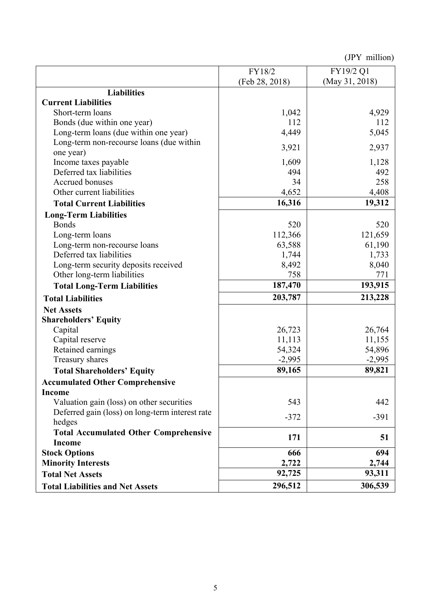|                                                           | FY18/2         | FY19/2 Q1      |
|-----------------------------------------------------------|----------------|----------------|
|                                                           | (Feb 28, 2018) | (May 31, 2018) |
| <b>Liabilities</b>                                        |                |                |
| <b>Current Liabilities</b>                                |                |                |
| Short-term loans                                          | 1,042          | 4,929          |
| Bonds (due within one year)                               | 112            | 112            |
| Long-term loans (due within one year)                     | 4,449          | 5,045          |
| Long-term non-recourse loans (due within                  | 3,921          | 2,937          |
| one year)                                                 |                |                |
| Income taxes payable                                      | 1,609          | 1,128          |
| Deferred tax liabilities                                  | 494            | 492            |
| Accrued bonuses                                           | 34             | 258            |
| Other current liabilities                                 | 4,652          | 4,408          |
| <b>Total Current Liabilities</b>                          | 16,316         | 19,312         |
| <b>Long-Term Liabilities</b>                              |                |                |
| <b>Bonds</b>                                              | 520            | 520            |
| Long-term loans                                           | 112,366        | 121,659        |
| Long-term non-recourse loans                              | 63,588         | 61,190         |
| Deferred tax liabilities                                  | 1,744          | 1,733          |
| Long-term security deposits received                      | 8,492          | 8,040          |
| Other long-term liabilities                               | 758            | 771            |
| <b>Total Long-Term Liabilities</b>                        | 187,470        | 193,915        |
| <b>Total Liabilities</b>                                  | 203,787        | 213,228        |
| <b>Net Assets</b>                                         |                |                |
| <b>Shareholders' Equity</b>                               |                |                |
| Capital                                                   | 26,723         | 26,764         |
| Capital reserve                                           | 11,113         | 11,155         |
| Retained earnings                                         | 54,324         | 54,896         |
| Treasury shares                                           | $-2,995$       | $-2,995$       |
| <b>Total Shareholders' Equity</b>                         | 89,165         | 89,821         |
| <b>Accumulated Other Comprehensive</b>                    |                |                |
| <b>Income</b>                                             |                |                |
| Valuation gain (loss) on other securities                 | 543            | 442            |
| Deferred gain (loss) on long-term interest rate<br>hedges | $-372$         | $-391$         |
| <b>Total Accumulated Other Comprehensive</b>              |                |                |
| <b>Income</b>                                             | 171            | 51             |
| <b>Stock Options</b>                                      | 666            | 694            |
| <b>Minority Interests</b>                                 | 2,722          | 2,744          |
| <b>Total Net Assets</b>                                   | 92,725         | 93,311         |
| <b>Total Liabilities and Net Assets</b>                   | 296,512        | 306,539        |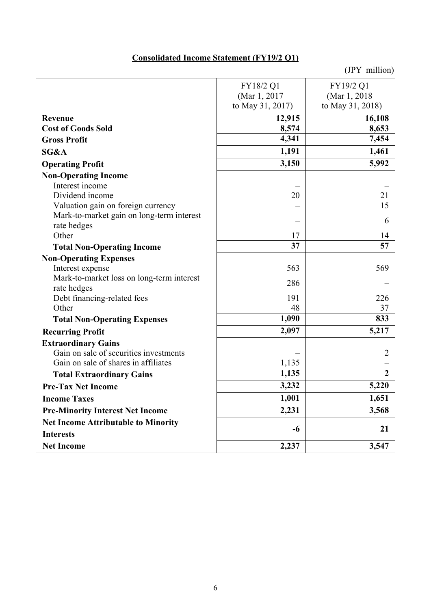# **Consolidated Income Statement (FY19/2 Q1)**

|                                                          | FY18/2 Q1        | FY19/2 Q1        |
|----------------------------------------------------------|------------------|------------------|
|                                                          | (Mar 1, 2017     | (Mar 1, 2018)    |
|                                                          | to May 31, 2017) | to May 31, 2018) |
| Revenue                                                  | 12,915           | 16,108           |
| <b>Cost of Goods Sold</b>                                | 8,574            | 8,653            |
| <b>Gross Profit</b>                                      | 4,341            | 7,454            |
| SG&A                                                     | 1,191            | 1,461            |
| <b>Operating Profit</b>                                  | 3,150            | 5,992            |
| <b>Non-Operating Income</b>                              |                  |                  |
| Interest income                                          |                  |                  |
| Dividend income                                          | 20               | 21               |
| Valuation gain on foreign currency                       |                  | 15               |
| Mark-to-market gain on long-term interest                |                  | 6                |
| rate hedges<br>Other                                     | 17               |                  |
|                                                          | 37               | 14<br>57         |
| <b>Total Non-Operating Income</b>                        |                  |                  |
| <b>Non-Operating Expenses</b>                            |                  |                  |
| Interest expense                                         | 563              | 569              |
| Mark-to-market loss on long-term interest<br>rate hedges | 286              |                  |
| Debt financing-related fees                              | 191              | 226              |
| Other                                                    | 48               | 37               |
| <b>Total Non-Operating Expenses</b>                      | 1,090            | 833              |
| <b>Recurring Profit</b>                                  | 2,097            | 5,217            |
| <b>Extraordinary Gains</b>                               |                  |                  |
| Gain on sale of securities investments                   |                  | $\overline{2}$   |
| Gain on sale of shares in affiliates                     | 1,135            |                  |
| <b>Total Extraordinary Gains</b>                         | 1,135            | $\overline{2}$   |
| <b>Pre-Tax Net Income</b>                                | 3,232            | 5,220            |
| <b>Income Taxes</b>                                      | 1,001            | 1,651            |
| <b>Pre-Minority Interest Net Income</b>                  | 2,231            | 3,568            |
| <b>Net Income Attributable to Minority</b>               |                  |                  |
| <b>Interests</b>                                         | -6               | 21               |
| <b>Net Income</b>                                        | 2,237            | 3,547            |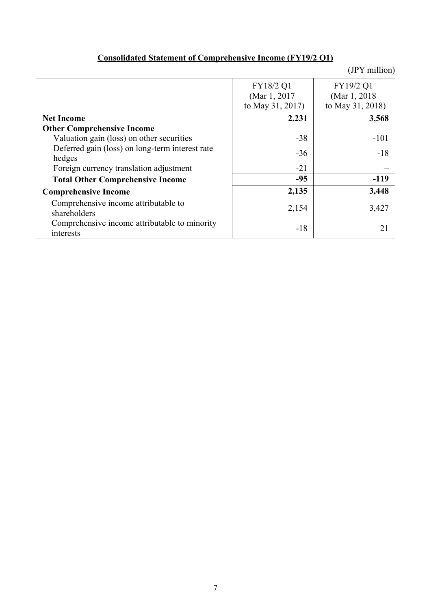| <b>Consolidated Statement of Comprehensive Income (FY19/2 Q1)</b> |
|-------------------------------------------------------------------|
|-------------------------------------------------------------------|

|                                                            | FY18/2 Q1<br>(Mar 1, 2017) | FY19/2 Q1<br>(Mar 1, 2018) |
|------------------------------------------------------------|----------------------------|----------------------------|
|                                                            | to May 31, 2017)           | to May 31, 2018)           |
| <b>Net Income</b>                                          | 2,231                      | 3,568                      |
| <b>Other Comprehensive Income</b>                          |                            |                            |
| Valuation gain (loss) on other securities                  | $-38$                      | $-101$                     |
| Deferred gain (loss) on long-term interest rate<br>hedges  | $-36$                      | $-18$                      |
| Foreign currency translation adjustment                    | $-21$                      |                            |
| <b>Total Other Comprehensive Income</b>                    | $-95$                      | $-119$                     |
| <b>Comprehensive Income</b>                                | 2,135                      | 3,448                      |
| Comprehensive income attributable to<br>shareholders       | 2,154                      | 3,427                      |
| Comprehensive income attributable to minority<br>interests | $-18$                      | 21                         |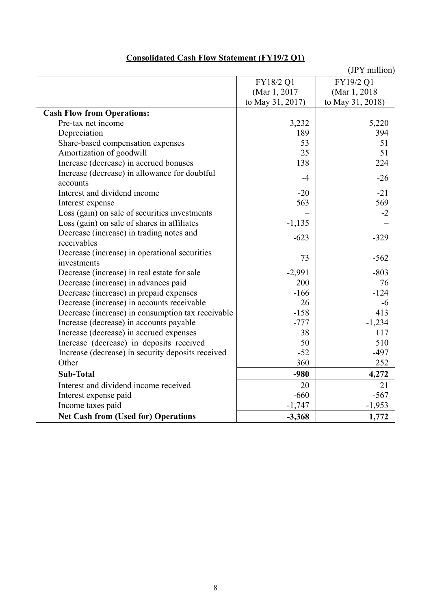|                                                   |                  | (JPY million)    |
|---------------------------------------------------|------------------|------------------|
|                                                   | FY18/2 Q1        | FY19/2 Q1        |
|                                                   | (Mar 1, 2017)    | (Mar 1, 2018)    |
|                                                   | to May 31, 2017) | to May 31, 2018) |
| <b>Cash Flow from Operations:</b>                 |                  |                  |
| Pre-tax net income                                | 3,232            | 5,220            |
| Depreciation                                      | 189              | 394              |
| Share-based compensation expenses                 | 53               | 51               |
| Amortization of goodwill                          | 25               | 51               |
| Increase (decrease) in accrued bonuses            | 138              | 224              |
| Increase (decrease) in allowance for doubtful     | $-4$             | $-26$            |
| accounts                                          |                  |                  |
| Interest and dividend income                      | $-20$            | $-21$            |
| Interest expense                                  | 563              | 569              |
| Loss (gain) on sale of securities investments     |                  | $-2$             |
| Loss (gain) on sale of shares in affiliates       | $-1,135$         |                  |
| Decrease (increase) in trading notes and          | $-623$           | $-329$           |
| receivables                                       |                  |                  |
| Decrease (increase) in operational securities     | 73               | $-562$           |
| investments                                       |                  |                  |
| Decrease (increase) in real estate for sale       | $-2,991$         | $-803$           |
| Decrease (increase) in advances paid              | 200              | 76               |
| Decrease (increase) in prepaid expenses           | $-166$           | $-124$           |
| Decrease (increase) in accounts receivable        | 26               | $-6$             |
| Decrease (increase) in consumption tax receivable | $-158$           | 413              |
| Increase (decrease) in accounts payable           | $-777$           | $-1,234$         |
| Increase (decrease) in accrued expenses           | 38               | 117              |
| Increase (decrease) in deposits received          | 50               | 510              |
| Increase (decrease) in security deposits received | $-52$            | $-497$           |
| Other                                             | 360              | 252              |
| <b>Sub-Total</b>                                  | $-980$           | 4,272            |
| Interest and dividend income received             | 20               | 21               |
| Interest expense paid                             | $-660$           | $-567$           |
| Income taxes paid                                 | $-1,747$         | $-1,953$         |
| <b>Net Cash from (Used for) Operations</b>        | $-3,368$         | 1,772            |

## **Consolidated Cash Flow Statement (FY19/2 Q1)**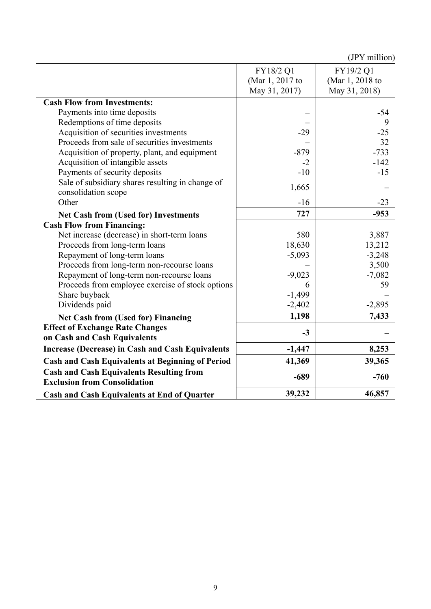|                                                                                        |                 | $\sqrt{1 + \min_{i=1}^{n}}$ |
|----------------------------------------------------------------------------------------|-----------------|-----------------------------|
|                                                                                        | FY18/2 Q1       | FY19/2 Q1                   |
|                                                                                        | (Mar 1, 2017 to | (Mar 1, 2018 to             |
|                                                                                        | May 31, 2017)   | May 31, 2018)               |
| <b>Cash Flow from Investments:</b>                                                     |                 |                             |
| Payments into time deposits                                                            |                 | $-54$                       |
| Redemptions of time deposits                                                           |                 | 9                           |
| Acquisition of securities investments                                                  | $-29$           | $-25$                       |
| Proceeds from sale of securities investments                                           |                 | 32                          |
| Acquisition of property, plant, and equipment                                          | $-879$          | $-733$                      |
| Acquisition of intangible assets                                                       | $-2$            | $-142$                      |
| Payments of security deposits                                                          | $-10$           | $-15$                       |
| Sale of subsidiary shares resulting in change of<br>consolidation scope                | 1,665           |                             |
| Other                                                                                  | $-16$           | $-23$                       |
| <b>Net Cash from (Used for) Investments</b>                                            | 727             | $-953$                      |
| <b>Cash Flow from Financing:</b>                                                       |                 |                             |
| Net increase (decrease) in short-term loans                                            | 580             | 3,887                       |
| Proceeds from long-term loans                                                          | 18,630          | 13,212                      |
| Repayment of long-term loans                                                           | $-5,093$        | $-3,248$                    |
| Proceeds from long-term non-recourse loans                                             |                 | 3,500                       |
| Repayment of long-term non-recourse loans                                              | $-9,023$        | $-7,082$                    |
| Proceeds from employee exercise of stock options                                       | 6               | 59                          |
| Share buyback                                                                          | $-1,499$        |                             |
| Dividends paid                                                                         | $-2,402$        | $-2,895$                    |
| <b>Net Cash from (Used for) Financing</b>                                              | 1,198           | 7,433                       |
| <b>Effect of Exchange Rate Changes</b><br>on Cash and Cash Equivalents                 | $-3$            |                             |
| <b>Increase (Decrease) in Cash and Cash Equivalents</b>                                | $-1,447$        | 8,253                       |
| <b>Cash and Cash Equivalents at Beginning of Period</b>                                | 41,369          | 39,365                      |
| <b>Cash and Cash Equivalents Resulting from</b><br><b>Exclusion from Consolidation</b> | $-689$          | $-760$                      |
| <b>Cash and Cash Equivalents at End of Quarter</b>                                     | 39,232          | 46,857                      |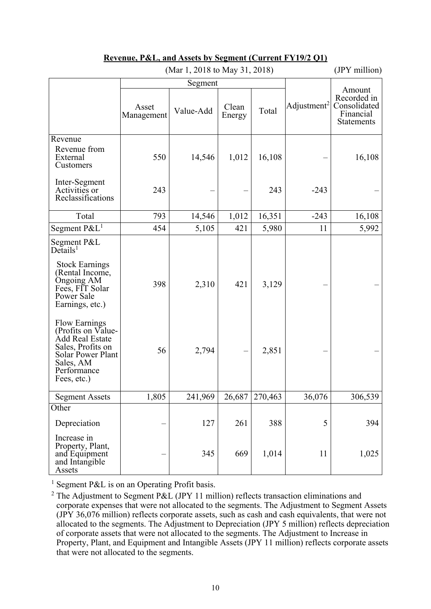| (Mar 1, 2018 to May 31, 2018)                                                                                                                                                                                                                                                                                     |                     |                |                 |                | $(JP_1 \text{ million})$ |                                                                         |
|-------------------------------------------------------------------------------------------------------------------------------------------------------------------------------------------------------------------------------------------------------------------------------------------------------------------|---------------------|----------------|-----------------|----------------|--------------------------|-------------------------------------------------------------------------|
|                                                                                                                                                                                                                                                                                                                   |                     | Segment        |                 |                |                          |                                                                         |
|                                                                                                                                                                                                                                                                                                                   | Asset<br>Management | Value-Add      | Clean<br>Energy | Total          | Adjustment <sup>2</sup>  | Amount<br>Recorded in<br>Consolidated<br>Financial<br><b>Statements</b> |
| Revenue<br>Revenue from<br>External<br>Customers                                                                                                                                                                                                                                                                  | 550                 | 14,546         | 1,012           | 16,108         |                          | 16,108                                                                  |
| Inter-Segment<br>Activities or<br>Reclassifications                                                                                                                                                                                                                                                               | 243                 |                |                 | 243            | $-243$                   |                                                                         |
| Total                                                                                                                                                                                                                                                                                                             | 793                 | 14,546         | 1,012           | 16,351         | $-243$                   | 16,108                                                                  |
| Segment $P\&L^1$                                                                                                                                                                                                                                                                                                  | 454                 | 5,105          | 421             | 5,980          | 11                       | 5,992                                                                   |
| Segment P&L<br>$De$ tails <sup>1</sup><br><b>Stock Earnings</b><br>(Rental Income,<br>Ongoing AM<br>Fees, FIT Solar<br>Power Sale<br>Earnings, etc.)<br><b>Flow Earnings</b><br>(Profits on Value-<br>Add Real Estate<br>Sales, Profits on<br><b>Solar Power Plant</b><br>Sales, AM<br>Performance<br>Fees, etc.) | 398<br>56           | 2,310<br>2,794 | 421             | 3,129<br>2,851 |                          |                                                                         |
| <b>Segment Assets</b>                                                                                                                                                                                                                                                                                             | 1,805               | 241,969        | 26,687          | 270,463        | 36,076                   | 306,539                                                                 |
| Other                                                                                                                                                                                                                                                                                                             |                     |                |                 |                |                          |                                                                         |
| Depreciation                                                                                                                                                                                                                                                                                                      |                     | 127            | 261             | 388            | 5                        | 394                                                                     |
| Increase in<br>Property, Plant,<br>and Equipment<br>and Intangible<br>Assets                                                                                                                                                                                                                                      |                     | 345            | 669             | 1,014          | 11                       | 1,025                                                                   |

#### **Revenue, P&L, and Assets by Segment (Current FY19/2 Q1)**   $(M_{\text{on}} 1, 2019 \text{ to } M_{\text{ev}} 21, 2019)$  (JDV million)

<sup>1</sup> Segment P&L is on an Operating Profit basis.

<sup>2</sup> The Adjustment to Segment P&L (JPY 11 million) reflects transaction eliminations and corporate expenses that were not allocated to the segments. The Adjustment to Segment Assets (JPY 36,076 million) reflects corporate assets, such as cash and cash equivalents, that were not allocated to the segments. The Adjustment to Depreciation (JPY 5 million) reflects depreciation of corporate assets that were not allocated to the segments. The Adjustment to Increase in Property, Plant, and Equipment and Intangible Assets (JPY 11 million) reflects corporate assets that were not allocated to the segments.